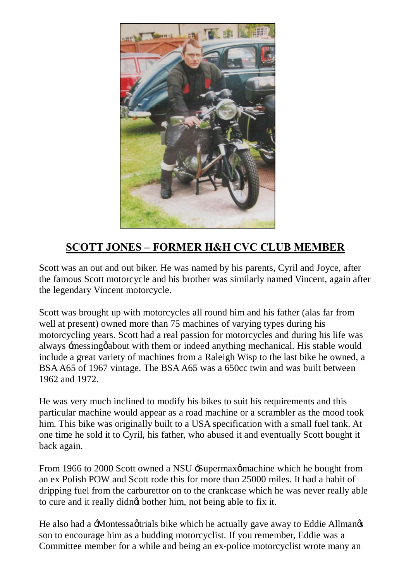

## **SCOTT JONES – FORMER H&H CVC CLUB MEMBER**

Scott was an out and out biker. He was named by his parents, Cyril and Joyce, after the famous Scott motorcycle and his brother was similarly named Vincent, again after the legendary Vincent motorcycle.

Scott was brought up with motorcycles all round him and his father (alas far from well at present) owned more than 75 machines of varying types during his motorcycling years. Scott had a real passion for motorcycles and during his life was always  $\exists$  messing gabout with them or indeed anything mechanical. His stable would include a great variety of machines from a Raleigh Wisp to the last bike he owned, a BSA A65 of 1967 vintage. The BSA A65 was a 650cc twin and was built between 1962 and 1972.

He was very much inclined to modify his bikes to suit his requirements and this particular machine would appear as a road machine or a scrambler as the mood took him. This bike was originally built to a USA specification with a small fuel tank. At one time he sold it to Cyril, his father, who abused it and eventually Scott bought it back again.

From 1966 to 2000 Scott owned a NSU :Supermaxomachine which he bought from an ex Polish POW and Scott rode this for more than 25000 miles. It had a habit of dripping fuel from the carburettor on to the crankcase which he was never really able to cure and it really didnet bother him, not being able to fix it.

He also had a -Montessagtrials bike which he actually gave away to Eddie Allmangs son to encourage him as a budding motorcyclist. If you remember, Eddie was a Committee member for a while and being an ex-police motorcyclist wrote many an